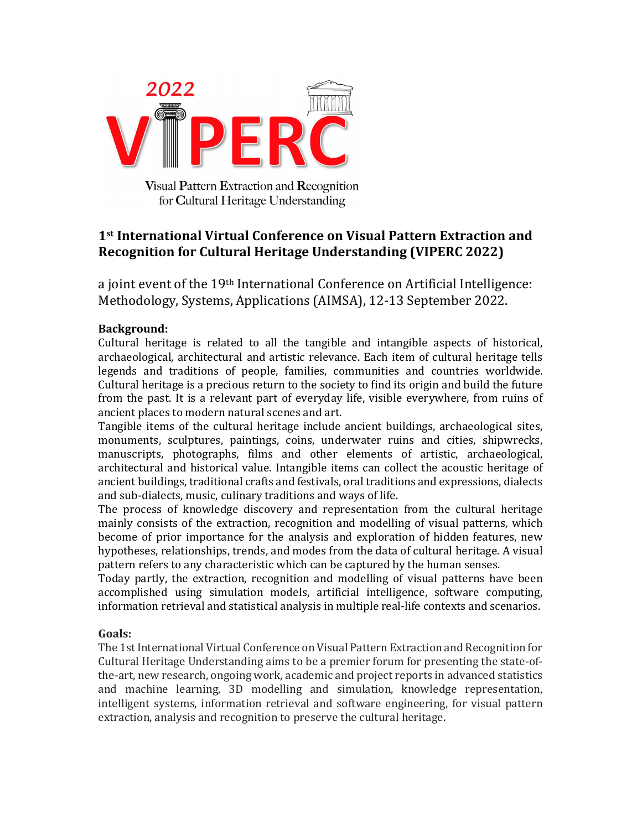

Visual Pattern Extraction and Recognition for Cultural Heritage Understanding

# 1st International Virtual Conference on Visual Pattern Extraction and Recognition for Cultural Heritage Understanding (VIPERC 2022)

a joint event of the 19<sup>th</sup> International Conference on Artificial Intelligence: Methodology, Systems, Applications (AIMSA), 12-13 September 2022.

# Background:

Cultural heritage is related to all the tangible and intangible aspects of historical, archaeological, architectural and artistic relevance. Each item of cultural heritage tells legends and traditions of people, families, communities and countries worldwide. Cultural heritage is a precious return to the society to find its origin and build the future from the past. It is a relevant part of everyday life, visible everywhere, from ruins of ancient places to modern natural scenes and art.

Tangible items of the cultural heritage include ancient buildings, archaeological sites, monuments, sculptures, paintings, coins, underwater ruins and cities, shipwrecks, manuscripts, photographs, films and other elements of artistic, archaeological, architectural and historical value. Intangible items can collect the acoustic heritage of ancient buildings, traditional crafts and festivals, oral traditions and expressions, dialects and sub-dialects, music, culinary traditions and ways of life.

The process of knowledge discovery and representation from the cultural heritage mainly consists of the extraction, recognition and modelling of visual patterns, which become of prior importance for the analysis and exploration of hidden features, new hypotheses, relationships, trends, and modes from the data of cultural heritage. A visual pattern refers to any characteristic which can be captured by the human senses.

Today partly, the extraction, recognition and modelling of visual patterns have been accomplished using simulation models, artificial intelligence, software computing, information retrieval and statistical analysis in multiple real-life contexts and scenarios.

# Goals:

The 1st International Virtual Conference on Visual Pattern Extraction and Recognition for Cultural Heritage Understanding aims to be a premier forum for presenting the state-ofthe-art, new research, ongoing work, academic and project reports in advanced statistics and machine learning, 3D modelling and simulation, knowledge representation, intelligent systems, information retrieval and software engineering, for visual pattern extraction, analysis and recognition to preserve the cultural heritage.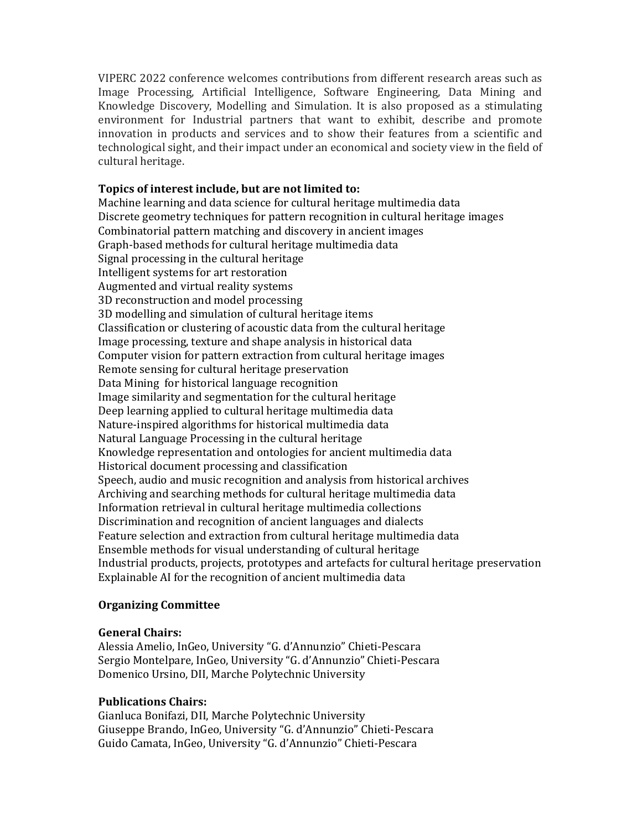VIPERC 2022 conference welcomes contributions from different research areas such as Image Processing, Artificial Intelligence, Software Engineering, Data Mining and Knowledge Discovery, Modelling and Simulation. It is also proposed as a stimulating environment for Industrial partners that want to exhibit, describe and promote innovation in products and services and to show their features from a scientific and technological sight, and their impact under an economical and society view in the field of cultural heritage.

## Topics of interest include, but are not limited to:

Machine learning and data science for cultural heritage multimedia data Discrete geometry techniques for pattern recognition in cultural heritage images Combinatorial pattern matching and discovery in ancient images Graph-based methods for cultural heritage multimedia data Signal processing in the cultural heritage Intelligent systems for art restoration Augmented and virtual reality systems 3D reconstruction and model processing 3D modelling and simulation of cultural heritage items Classification or clustering of acoustic data from the cultural heritage Image processing, texture and shape analysis in historical data Computer vision for pattern extraction from cultural heritage images Remote sensing for cultural heritage preservation Data Mining for historical language recognition Image similarity and segmentation for the cultural heritage Deep learning applied to cultural heritage multimedia data Nature-inspired algorithms for historical multimedia data Natural Language Processing in the cultural heritage Knowledge representation and ontologies for ancient multimedia data Historical document processing and classification Speech, audio and music recognition and analysis from historical archives Archiving and searching methods for cultural heritage multimedia data Information retrieval in cultural heritage multimedia collections Discrimination and recognition of ancient languages and dialects Feature selection and extraction from cultural heritage multimedia data Ensemble methods for visual understanding of cultural heritage Industrial products, projects, prototypes and artefacts for cultural heritage preservation Explainable AI for the recognition of ancient multimedia data

# Organizing Committee

#### General Chairs:

Alessia Amelio, InGeo, University "G. d'Annunzio" Chieti-Pescara Sergio Montelpare, InGeo, University "G. d'Annunzio" Chieti-Pescara Domenico Ursino, DII, Marche Polytechnic University

#### Publications Chairs:

Gianluca Bonifazi, DII, Marche Polytechnic University Giuseppe Brando, InGeo, University "G. d'Annunzio" Chieti-Pescara Guido Camata, InGeo, University "G. d'Annunzio" Chieti-Pescara